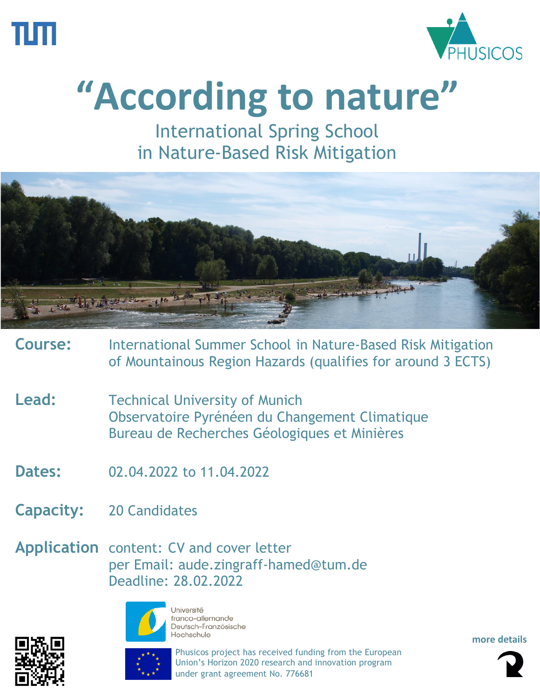



# **"According to nature"**

International Spring School in Nature-Based Risk Mitigation



- **Course:** International Summer School in Nature-Based Risk Mitigation of Mountainous Region Hazards (qualifies for around 3 ECTS)
- Lead: Technical University of Munich Observatoire Pyrénéen du Changement Climatique Bureau de Recherches Géologiques et Minières
- **Dates:** 02.04.2022 to 11.04.2022
- **Capacity:** 20 Candidates
- **Application** content: CV and cover letter per Email: [aude.zingraff-hamed@tum.de](mailto:aude.zingraff-hamed@tum.de) Deadline: 28.02.2022





Université franco-allemande Deutsch-Französische Hochschule

Phusicos project has received funding from the European Union's Horizon 2020 research and innovation program under grant agreement No. 776681

**more details**